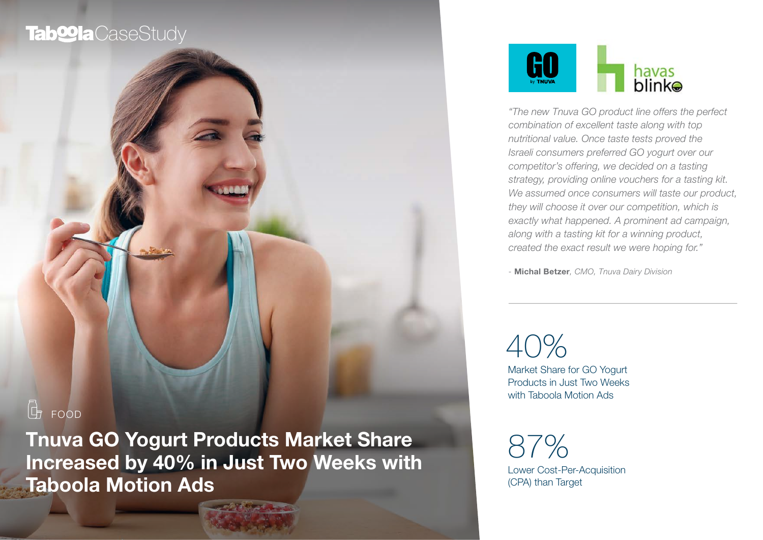## Tab**<sup>o</sup>la** CaseStudy

# $G$  FOOD

Tnuva GO Yogurt Products Market Share Increased by 40% in Just Two Weeks with Taboola Motion Ads



*"The new Tnuva GO product line offers the perfect combination of excellent taste along with top nutritional value. Once taste tests proved the Israeli consumers preferred GO yogurt over our competitor's offering, we decided on a tasting strategy, providing online vouchers for a tasting kit. We assumed once consumers will taste our product, they will choose it over our competition, which is exactly what happened. A prominent ad campaign, along with a tasting kit for a winning product, created the exact result we were hoping for."*

*-* Michal Betzer*, CMO, Tnuva Dairy Division* 

40%

Market Share for GO Yogurt Products in Just Two Weeks with Taboola Motion Ads

Lower Cost-Per-Acquisition (CPA) than Target 87%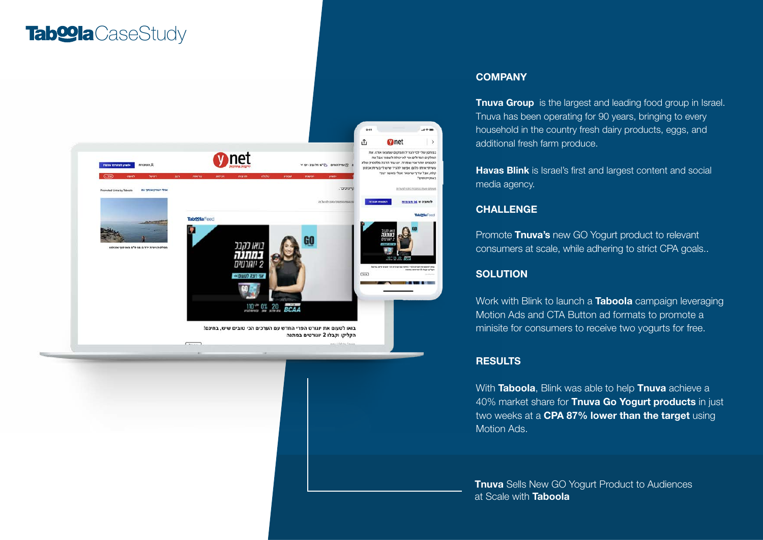## Tab<sup>oo</sup>la CaseStudy



#### **COMPANY**

Tnuva Group is the largest and leading food group in Israel. Tnuva has been operating for 90 years, bringing to every household in the country fresh dairy products, eggs, and additional fresh farm produce.

Havas Blink is Israel's first and largest content and social media agency.

#### **CHALLENGE**

Promote Tnuva's new GO Yogurt product to relevant consumers at scale, while adhering to strict CPA goals..

### **SOLUTION**

Work with Blink to launch a **Taboola** campaign leveraging Motion Ads and CTA Button ad formats to promote a minisite for consumers to receive two yogurts for free.

#### **RESULTS**

With Taboola, Blink was able to help Tnuva achieve a 40% market share for Tnuva Go Yogurt products in just two weeks at a CPA 87% lower than the target using Motion Ads.

**Tnuva** Sells New GO Yogurt Product to Audiences at Scale with Taboola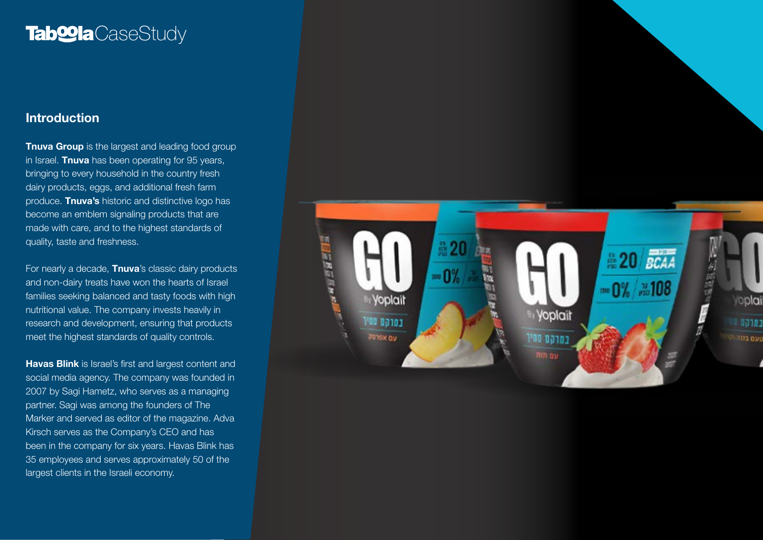## Tab**<sup>o</sup>la** CaseStudy

### Introduction

**Tnuva Group** is the largest and leading food group in Israel. Tnuva has been operating for 95 years, bringing to every household in the country fresh dairy products, eggs, and additional fresh farm produce. Tnuva's historic and distinctive logo has become an emblem signaling products that are made with care, and to the highest standards of quality, taste and freshness.

For nearly a decade, **Thuva**'s classic dairy products and non-dairy treats have won the hearts of Israel families seeking balanced and tasty foods with high nutritional value. The company invests heavily in research and development, ensuring that products meet the highest standards of quality controls.

Havas Blink is Israel's first and largest content and social media agency. The company was founded in 2007 by Sagi Hametz, who serves as a managing partner. Sagi was among the founders of The Marker and served as editor of the magazine. Adva Kirsch serves as the Company's CEO and has been in the company for six years. Havas Blink has 35 employees and serves approximately 50 of the largest clients in the Israeli economy.